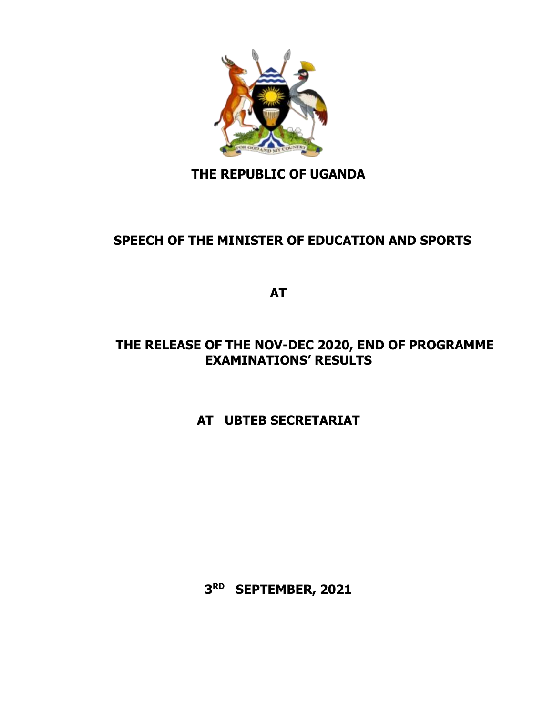

## **THE REPUBLIC OF UGANDA**

## **SPEECH OF THE MINISTER OF EDUCATION AND SPORTS**

**AT**

#### **THE RELEASE OF THE NOV-DEC 2020, END OF PROGRAMME EXAMINATIONS' RESULTS**

## **AT UBTEB SECRETARIAT**

**3 RD SEPTEMBER, 2021**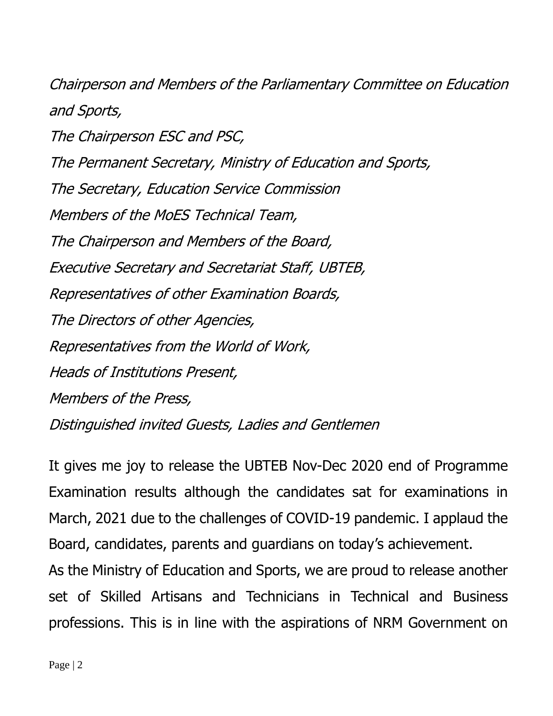Chairperson and Members of the Parliamentary Committee on Education and Sports, The Chairperson ESC and PSC, The Permanent Secretary, Ministry of Education and Sports, The Secretary, Education Service Commission Members of the MoES Technical Team, The Chairperson and Members of the Board, Executive Secretary and Secretariat Staff, UBTEB, Representatives of other Examination Boards, The Directors of other Agencies, Representatives from the World of Work, Heads of Institutions Present, Members of the Press, Distinguished invited Guests, Ladies and Gentlemen

It gives me joy to release the UBTEB Nov-Dec 2020 end of Programme Examination results although the candidates sat for examinations in March, 2021 due to the challenges of COVID-19 pandemic. I applaud the Board, candidates, parents and guardians on today's achievement.

As the Ministry of Education and Sports, we are proud to release another set of Skilled Artisans and Technicians in Technical and Business professions. This is in line with the aspirations of NRM Government on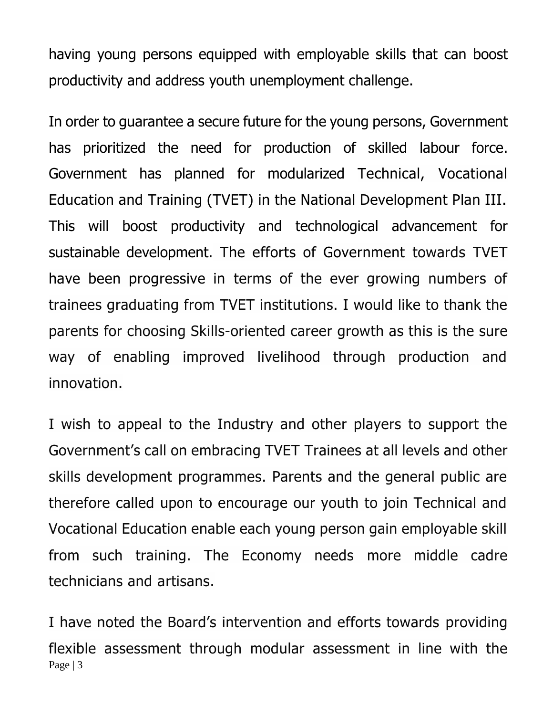having young persons equipped with employable skills that can boost productivity and address youth unemployment challenge.

In order to guarantee a secure future for the young persons, Government has prioritized the need for production of skilled labour force. Government has planned for modularized Technical, Vocational Education and Training (TVET) in the National Development Plan III. This will boost productivity and technological advancement for sustainable development. The efforts of Government towards TVET have been progressive in terms of the ever growing numbers of trainees graduating from TVET institutions. I would like to thank the parents for choosing Skills-oriented career growth as this is the sure way of enabling improved livelihood through production and innovation.

I wish to appeal to the Industry and other players to support the Government's call on embracing TVET Trainees at all levels and other skills development programmes. Parents and the general public are therefore called upon to encourage our youth to join Technical and Vocational Education enable each young person gain employable skill from such training. The Economy needs more middle cadre technicians and artisans.

Page | 3 I have noted the Board's intervention and efforts towards providing flexible assessment through modular assessment in line with the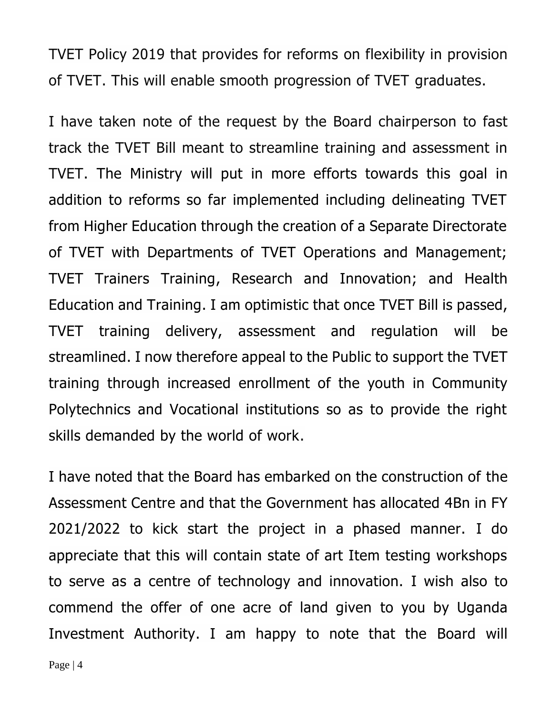TVET Policy 2019 that provides for reforms on flexibility in provision of TVET. This will enable smooth progression of TVET graduates.

I have taken note of the request by the Board chairperson to fast track the TVET Bill meant to streamline training and assessment in TVET. The Ministry will put in more efforts towards this goal in addition to reforms so far implemented including delineating TVET from Higher Education through the creation of a Separate Directorate of TVET with Departments of TVET Operations and Management; TVET Trainers Training, Research and Innovation; and Health Education and Training. I am optimistic that once TVET Bill is passed, TVET training delivery, assessment and regulation will be streamlined. I now therefore appeal to the Public to support the TVET training through increased enrollment of the youth in Community Polytechnics and Vocational institutions so as to provide the right skills demanded by the world of work.

I have noted that the Board has embarked on the construction of the Assessment Centre and that the Government has allocated 4Bn in FY 2021/2022 to kick start the project in a phased manner. I do appreciate that this will contain state of art Item testing workshops to serve as a centre of technology and innovation. I wish also to commend the offer of one acre of land given to you by Uganda Investment Authority. I am happy to note that the Board will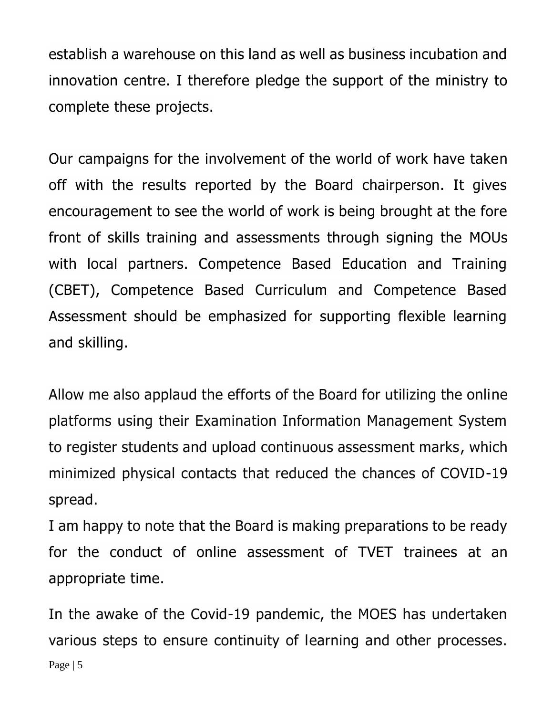establish a warehouse on this land as well as business incubation and innovation centre. I therefore pledge the support of the ministry to complete these projects.

Our campaigns for the involvement of the world of work have taken off with the results reported by the Board chairperson. It gives encouragement to see the world of work is being brought at the fore front of skills training and assessments through signing the MOUs with local partners. Competence Based Education and Training (CBET), Competence Based Curriculum and Competence Based Assessment should be emphasized for supporting flexible learning and skilling.

Allow me also applaud the efforts of the Board for utilizing the online platforms using their Examination Information Management System to register students and upload continuous assessment marks, which minimized physical contacts that reduced the chances of COVID-19 spread.

I am happy to note that the Board is making preparations to be ready for the conduct of online assessment of TVET trainees at an appropriate time.

Page | 5 In the awake of the Covid-19 pandemic, the MOES has undertaken various steps to ensure continuity of learning and other processes.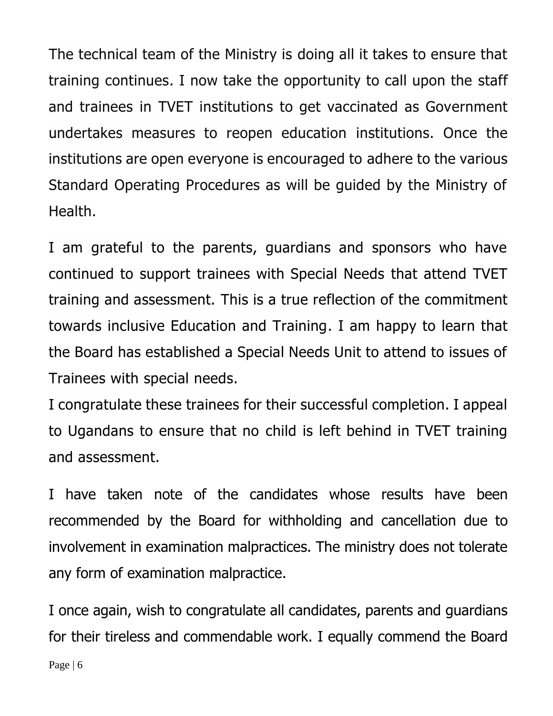The technical team of the Ministry is doing all it takes to ensure that training continues. I now take the opportunity to call upon the staff and trainees in TVET institutions to get vaccinated as Government undertakes measures to reopen education institutions. Once the institutions are open everyone is encouraged to adhere to the various Standard Operating Procedures as will be guided by the Ministry of Health.

I am grateful to the parents, guardians and sponsors who have continued to support trainees with Special Needs that attend TVET training and assessment. This is a true reflection of the commitment towards inclusive Education and Training. I am happy to learn that the Board has established a Special Needs Unit to attend to issues of Trainees with special needs.

I congratulate these trainees for their successful completion. I appeal to Ugandans to ensure that no child is left behind in TVET training and assessment.

I have taken note of the candidates whose results have been recommended by the Board for withholding and cancellation due to involvement in examination malpractices. The ministry does not tolerate any form of examination malpractice.

I once again, wish to congratulate all candidates, parents and guardians for their tireless and commendable work. I equally commend the Board